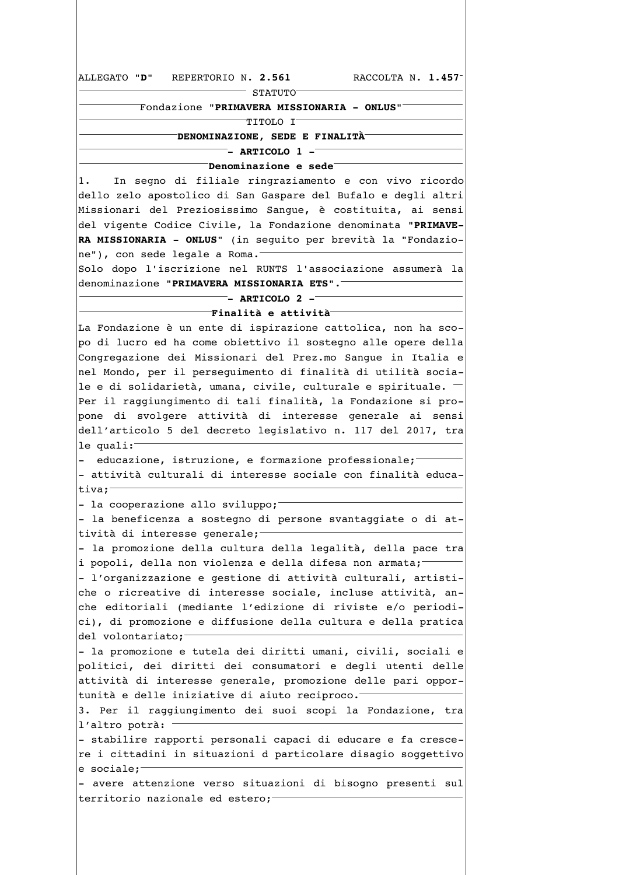ALLEGATO "D" REPERTORIO N. 2.561 RACCOLTA N. 1.457  $^-$  STATUTO $^-$ "Fondazione "PRIMAVERA MISSIONARIA - ONLUS"  $\overline{\ }$ TITOLO I $\overline{\ }$  $\bar{}$ DENOMINAZIONE, SEDE E FINALITÀ $\bar{}$  $^-$ - ARTICOLO 1 - $^ \bar{}$ Denominazione e sede $\bar{}$ In segno di filiale ringraziamento e con vivo ricordo  $1$ . dello zelo apostolico di San Gaspare del Bufalo e degli altri Missionari del Preziosissimo Sangue, è costituita, ai sensi del vigente Codice Civile, la Fondazione denominata "PRIMAVE-RA MISSIONARIA - ONLUS" (in seguito per brevità la "Fondazione"), con sede legale a Roma. Solo dopo l'iscrizione nel RUNTS l'associazione assumerà la denominazione "PRIMAVERA MISSIONARIA ETS".<sup>-</sup>  $-$  - ARTICOLO 2  $\overline{\ }$ Finalità e attività $\overline{\ }$ La Fondazione è un ente di ispirazione cattolica, non ha scopo di lucro ed ha come obiettivo il sostegno alle opere della Congregazione dei Missionari del Prez.mo Sangue in Italia e nel Mondo, per il perseguimento di finalità di utilità sociale e di solidarietà, umana, civile, culturale e spirituale. -Per il raggiungimento di tali finalità, la Fondazione si propone di svolgere attività di interesse generale ai sensi dell'articolo 5 del decreto legislativo n. 117 del 2017, tra le quali: educazione, istruzione, e formazione professionale; - attività culturali di interesse sociale con finalità educativa: - la cooperazione allo sviluppo; - la beneficenza a sostegno di persone svantaggiate o di attività di interesse generale;-- la promozione della cultura della legalità, della pace tra i popoli, della non violenza e della difesa non armata; - l'organizzazione e gestione di attività culturali, artistiche o ricreative di interesse sociale, incluse attività, anche editoriali (mediante l'edizione di riviste e/o periodici), di promozione e diffusione della cultura e della pratica del volontariato; - la promozione e tutela dei diritti umani, civili, sociali e politici, dei diritti dei consumatori e degli utenti delle attività di interesse generale, promozione delle pari opportunità e delle iniziative di aiuto reciproco. 3. Per il raggiungimento dei suoi scopi la Fondazione, tra l'altro potrà: - stabilire rapporti personali capaci di educare e fa crescere i cittadini in situazioni d particolare disagio soggettivo e sociale; - avere attenzione verso situazioni di bisogno presenti sul territorio nazionale ed estero;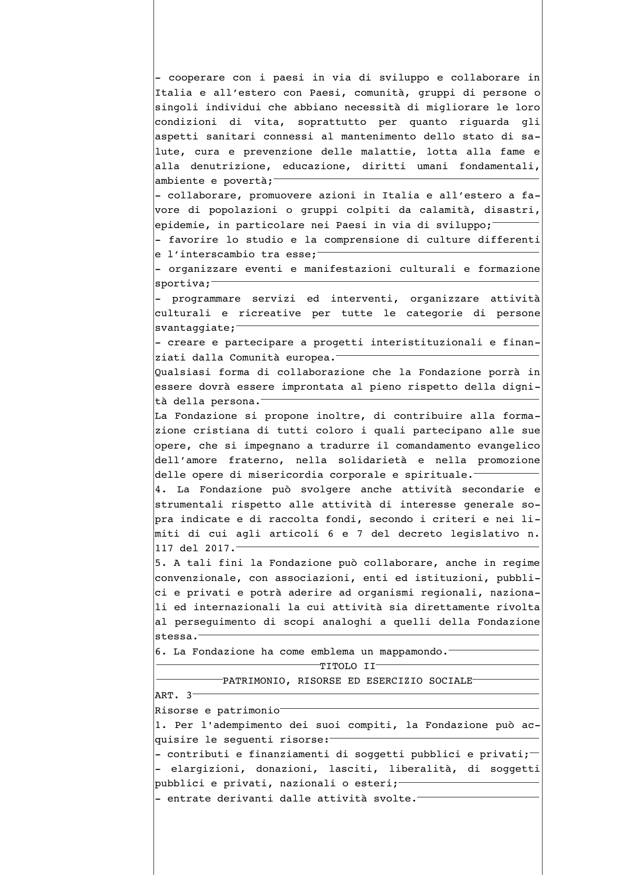- cooperare con i paesi in via di sviluppo e collaborare in Italia e all'estero con Paesi, comunità, gruppi di persone o singoli individui che abbiano necessità di migliorare le loro condizioni di vita, soprattutto per quanto riguarda gli aspetti sanitari connessi al mantenimento dello stato di salute, cura e prevenzione delle malattie, lotta alla fame e alla denutrizione, educazione, diritti umani fondamentali, ambiente e povertà; - collaborare, promuovere azioni in Italia e all'estero a favore di popolazioni o gruppi colpiti da calamità, disastri, epidemie, in particolare nei Paesi in via di sviluppo; - favorire lo studio e la comprensione di culture differenti e l'interscambio tra esse; - organizzare eventi e manifestazioni culturali e formazione sportiva; - programmare servizi ed interventi, organizzare attività culturali e ricreative per tutte le categorie di persone  $swantaggiate;$ - creare e partecipare a progetti interistituzionali e finanziati dalla Comunità europea. Qualsiasi forma di collaborazione che la Fondazione porrà in essere dovrà essere improntata al pieno rispetto della dignità della persona. La Fondazione si propone inoltre, di contribuire alla formazione cristiana di tutti coloro i quali partecipano alle sue opere, che si impegnano a tradurre il comandamento evangelico dell'amore fraterno, nella solidarietà e nella promozione delle opere di misericordia corporale e spirituale. 4. La Fondazione può svolgere anche attività secondarie e strumentali rispetto alle attività di interesse generale sopra indicate e di raccolta fondi, secondo i criteri e nei limiti di cui agli articoli 6 e 7 del decreto legislativo n. 117 del 2017. 5. A tali fini la Fondazione può collaborare, anche in regime convenzionale, con associazioni, enti ed istituzioni, pubblici e privati e potrà aderire ad organismi regionali, nazionali ed internazionali la cui attività sia direttamente rivolta al persequimento di scopi analoghi a quelli della Fondazione stessa. 6. La Fondazione ha come emblema un mappamondo.  $-$ TITOLO II $-$ -PATRIMONIO, RISORSE ED ESERCIZIO SOCIALE-ART. 3 Risorse e patrimonio 1. Per l'adempimento dei suoi compiti, la Fondazione può acquisire le sequenti risorse: - contributi e finanziamenti di soggetti pubblici e privati; $-$ - elargizioni, donazioni, lasciti, liberalità, di soggetti pubblici e privati, nazionali o esteri;-- entrate derivanti dalle attività svolte.<sup>-</sup>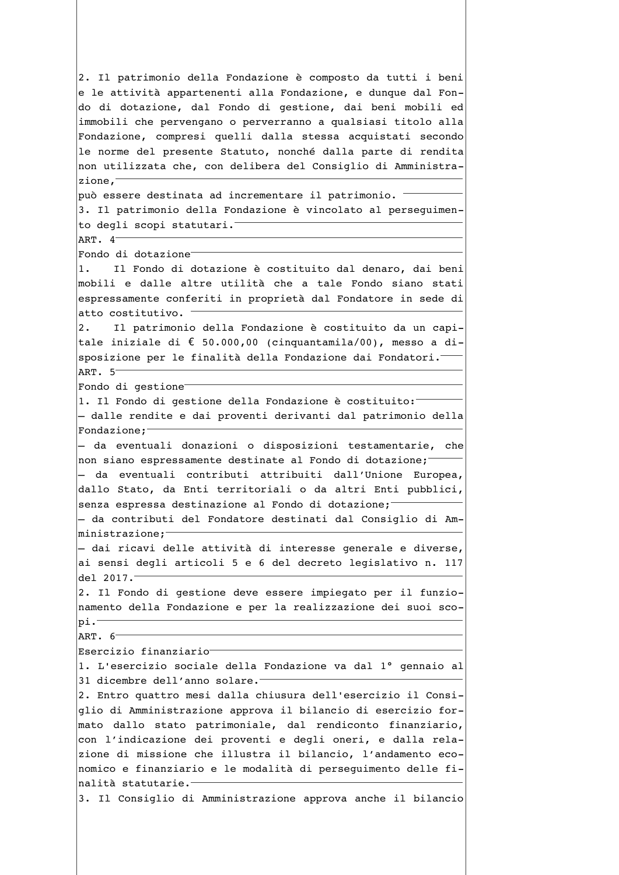2. Il patrimonio della Fondazione è composto da tutti i beni e le attività appartenenti alla Fondazione, e dunque dal Fondo di dotazione, dal Fondo di gestione, dai beni mobili ed immobili che pervengano o perverranno a qualsiasi titolo alla Fondazione, compresi quelli dalla stessa acquistati secondo le norme del presente Statuto, nonché dalla parte di rendita non utilizzata che, con delibera del Consiglio di Amministrazione, può essere destinata ad incrementare il patrimonio. 3. Il patrimonio della Fondazione è vincolato al perseguimento degli scopi statutari.<sup>-</sup> ART. 4 Fondo di dotazione<sup>-</sup>  $\overline{1}$ . Il Fondo di dotazione è costituito dal denaro, dai beni mobili e dalle altre utilità che a tale Fondo siano stati espressamente conferiti in proprietà dal Fondatore in sede di atto costitutivo. Il patrimonio della Fondazione è costituito da un capi- $2.$ tale iniziale di € 50.000,00 (cinquantamila/00), messo a disposizione per le finalità della Fondazione dai Fondatori.<sup>-</sup> ART. 5 Fondo di gestione 1. Il Fondo di gestione della Fondazione è costituito: - dalle rendite e dai proventi derivanti dal patrimonio della Fondazione; - da eventuali donazioni o disposizioni testamentarie, che non siano espressamente destinate al Fondo di dotazione; - da eventuali contributi attribuiti dall'Unione Europea, dallo Stato, da Enti territoriali o da altri Enti pubblici, senza espressa destinazione al Fondo di dotazione; - da contributi del Fondatore destinati dal Consiglio di Am- $\mid$ ministrazione;<sup>-</sup> - dai ricavi delle attività di interesse generale e diverse, ai sensi degli articoli 5 e 6 del decreto legislativo n. 117 del 2017. 2. Il Fondo di gestione deve essere impiegato per il funzionamento della Fondazione e per la realizzazione dei suoi sco $pi.^-$ ART.  $6<sup>-</sup>$ Esercizio finanziario 1. L'esercizio sociale della Fondazione va dal 1º gennaio al 31 dicembre dell'anno solare. 2. Entro quattro mesi dalla chiusura dell'esercizio il Consiglio di Amministrazione approva il bilancio di esercizio formato dallo stato patrimoniale, dal rendiconto finanziario, con l'indicazione dei proventi e degli oneri, e dalla relazione di missione che illustra il bilancio, l'andamento economico e finanziario e le modalità di persequimento delle finalità statutarie.<sup>-</sup> 3. Il Consiglio di Amministrazione approva anche il bilancio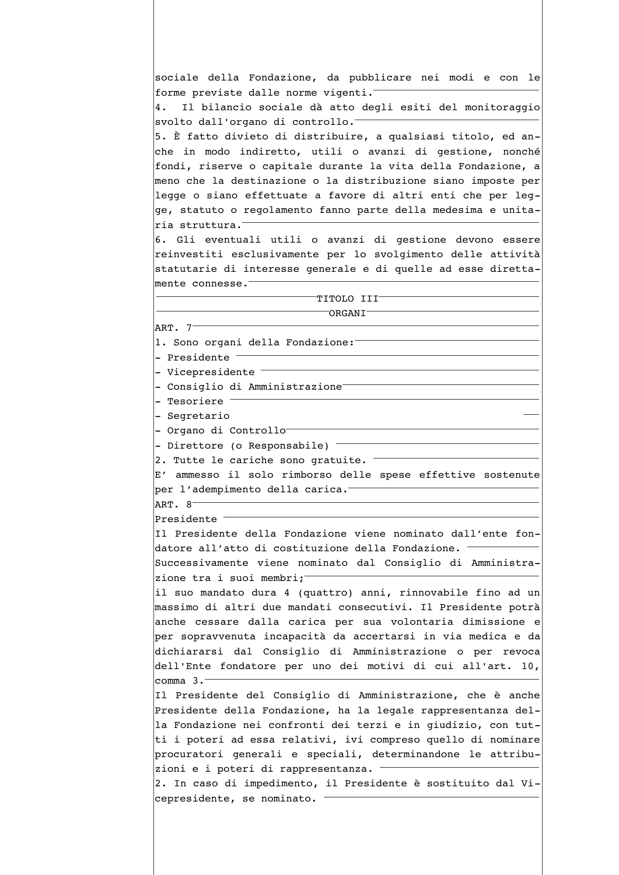sociale della Fondazione, da pubblicare nei modi e con le forme previste dalle norme vigenti. Il bilancio sociale dà atto degli esiti del monitoraggio 4. svolto dall'organo di controllo. 5. È fatto divieto di distribuire, a qualsiasi titolo, ed anche in modo indiretto, utili o avanzi di gestione, nonché fondi, riserve o capitale durante la vita della Fondazione, a meno che la destinazione o la distribuzione siano imposte per legge o siano effettuate a favore di altri enti che per legge, statuto o regolamento fanno parte della medesima e unitaria struttura. 6. Gli eventuali utili o avanzi di gestione devono essere reinvestiti esclusivamente per lo svolgimento delle attività statutarie di interesse generale e di quelle ad esse direttamente connesse.<sup>-</sup> TITOLO III<sup>-</sup>  $\overline{\phantom{a}}$ ORGANI ART. 7 1. Sono organi della Fondazione: - Presidente - Vicepresidente -- Consiglio di Amministrazione<sup>-</sup> - Tesoriere <sup>-</sup> - Segretario - Organo di Controllo<sup>-</sup> - Direttore (o Responsabile)  $^-$ 2. Tutte le cariche sono gratuite. E' ammesso il solo rimborso delle spese effettive sostenute per l'adempimento della carica. ART.  $8^-$ Presidente<sup>-</sup> Il Presidente della Fondazione viene nominato dall'ente fondatore all'atto di costituzione della Fondazione. Successivamente viene nominato dal Consiglio di Amministrazione tra i suoi membri; il suo mandato dura 4 (quattro) anni, rinnovabile fino ad un massimo di altri due mandati consecutivi. Il Presidente potrà anche cessare dalla carica per sua volontaria dimissione e per sopravvenuta incapacità da accertarsi in via medica e da dichiararsi dal Consiglio di Amministrazione o per revoca dell'Ente fondatore per uno dei motivi di cui all'art. 10, comma  $3.7$ Il Presidente del Consiglio di Amministrazione, che è anche Presidente della Fondazione, ha la legale rappresentanza della Fondazione nei confronti dei terzi e in giudizio, con tutti i poteri ad essa relativi, ivi compreso quello di nominare procuratori generali e speciali, determinandone le attribuzioni e i poteri di rappresentanza. 2. In caso di impedimento, il Presidente è sostituito dal Vicepresidente, se nominato.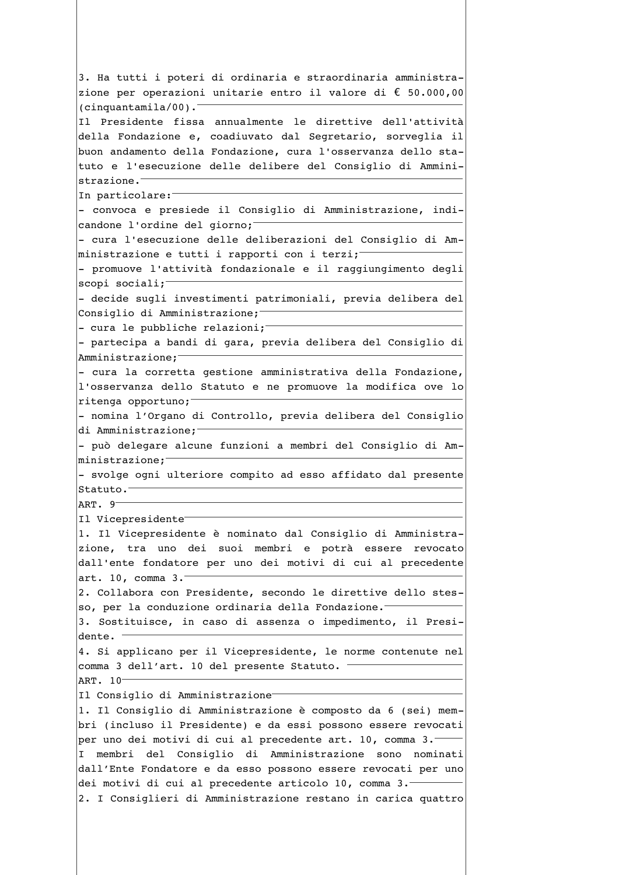3. Ha tutti i poteri di ordinaria e straordinaria amministrazione per operazioni unitarie entro il valore di € 50.000,00  $(cinquantamila/00)$ . Il Presidente fissa annualmente le direttive dell'attività della Fondazione e, coadiuvato dal Segretario, sorveglia il buon andamento della Fondazione, cura l'osservanza dello statuto e l'esecuzione delle delibere del Consiglio di Amministrazione.<sup>-</sup> In particolare: - convoca e presiede il Consiglio di Amministrazione, indicandone l'ordine del giorno; - cura l'esecuzione delle deliberazioni del Consiglio di Amministrazione e tutti i rapporti con i terzi; - promuove l'attività fondazionale e il raggiungimento degli  $scopi sociali;$ - decide sugli investimenti patrimoniali, previa delibera del Consiglio di Amministrazione; - cura le pubbliche relazioni; - partecipa a bandi di gara, previa delibera del Consiglio di Amministrazione; - cura la corretta gestione amministrativa della Fondazione, l'osservanza dello Statuto e ne promuove la modifica ove lo ritenga opportuno; - nomina l'Organo di Controllo, previa delibera del Consiglio di Amministrazione; - può delegare alcune funzioni a membri del Consiglio di Amministrazione;<sup>-</sup> - svolge ogni ulteriore compito ad esso affidato dal presente Statuto. ART.  $9^-$ Il Vicepresidente 1. Il Vicepresidente è nominato dal Consiglio di Amministrazione, tra uno dei suoi membri e potrà essere revocato dall'ente fondatore per uno dei motivi di cui al precedente art. 10, comma 3. 2. Collabora con Presidente, secondo le direttive dello stesso, per la conduzione ordinaria della Fondazione. 3. Sostituisce, in caso di assenza o impedimento, il Presidente. 4. Si applicano per il Vicepresidente, le norme contenute nel comma 3 dell'art. 10 del presente Statuto. ART. 10 Il Consiglio di Amministrazione<sup>-</sup> 1. Il Consiglio di Amministrazione è composto da 6 (sei) membri (incluso il Presidente) e da essi possono essere revocati per uno dei motivi di cui al precedente art. 10, comma 3. I membri del Consiglio di Amministrazione sono nominati dall'Ente Fondatore e da esso possono essere revocati per uno dei motivi di cui al precedente articolo 10, comma 3.-2. I Consiglieri di Amministrazione restano in carica quattro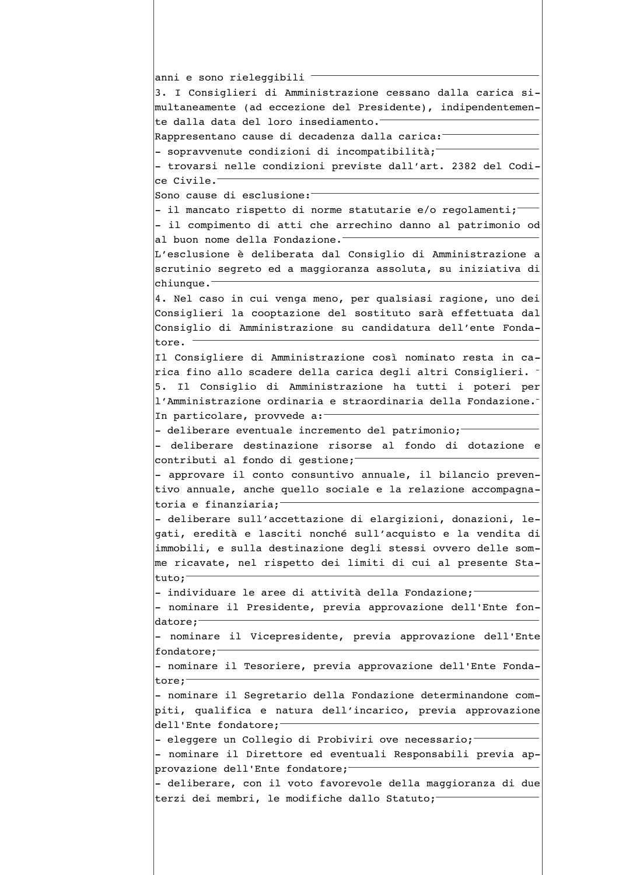```
anni e sono rieleggibili
3. I Consiglieri di Amministrazione cessano dalla carica si-
multaneamente (ad eccezione del Presidente), indipendentemen-
te dalla data del loro insediamento.
Rappresentano cause di decadenza dalla carica:
- sopravvenute condizioni di incompatibilità;
- trovarsi nelle condizioni previste dall'art. 2382 del Codi-
ce Civile.
Sono cause di esclusione:
- il mancato rispetto di norme statutarie e/o regolamenti;
- il compimento di atti che arrechino danno al patrimonio od
al buon nome della Fondazione.
L'esclusione è deliberata dal Consiglio di Amministrazione a
scrutinio segreto ed a maggioranza assoluta, su iniziativa di
chiunque.
4. Nel caso in cui venga meno, per qualsiasi ragione, uno dei
Consiglieri la cooptazione del sostituto sarà effettuata dal
Consiglio di Amministrazione su candidatura dell'ente Fonda-
tore.
Il Consigliere di Amministrazione così nominato resta in ca-
rica fino allo scadere della carica degli altri Consiglieri.
5. Il Consiglio di Amministrazione ha tutti i poteri per
l'Amministrazione ordinaria e straordinaria della Fondazione.
In particolare, provvede a:
- deliberare eventuale incremento del patrimonio;
- deliberare destinazione risorse al fondo di dotazione e
contributi al fondo di gestione;
- approvare il conto consuntivo annuale, il bilancio preven-
tivo annuale, anche quello sociale e la relazione accompagna-
toria e finanziaria;<sup>-</sup>
- deliberare sull'accettazione di elargizioni, donazioni, le-
gati, eredità e lasciti nonché sull'acquisto e la vendita di
immobili, e sulla destinazione degli stessi ovvero delle som-
me ricavate, nel rispetto dei limiti di cui al presente Sta-
tuto:
- individuare le aree di attività della Fondazione;
- nominare il Presidente, previa approvazione dell'Ente fon-
\vertdatore;^{-}- nominare il Vicepresidente, previa approvazione dell'Ente
fondatore;
- nominare il Tesoriere, previa approvazione dell'Ente Fonda-
tore;
- nominare il Segretario della Fondazione determinandone com-
piti, qualifica e natura dell'incarico, previa approvazione
dell'Ente fondatore;
- eleggere un Collegio di Probiviri ove necessario;
- nominare il Direttore ed eventuali Responsabili previa ap-
provazione dell'Ente fondatore;
- deliberare, con il voto favorevole della maggioranza di due
terzi dei membri, le modifiche dallo Statuto;
```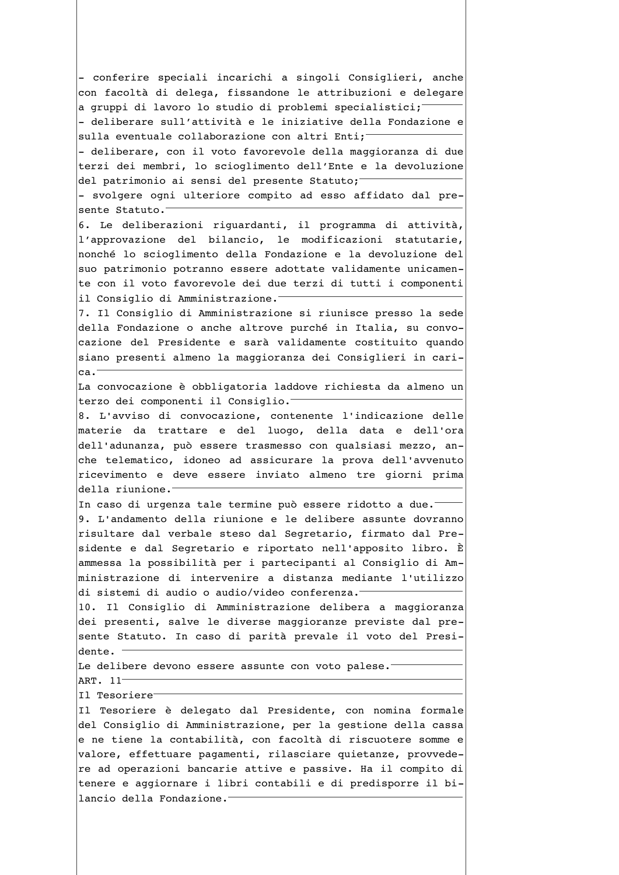- conferire speciali incarichi a singoli Consiglieri, anche con facoltà di delega, fissandone le attribuzioni e delegare a gruppi di lavoro lo studio di problemi specialistici; - deliberare sull'attività e le iniziative della Fondazione e sulla eventuale collaborazione con altri Enti; - deliberare, con il voto favorevole della maggioranza di due terzi dei membri, lo scioglimento dell'Ente e la devoluzione del patrimonio ai sensi del presente Statuto; - svolgere ogni ulteriore compito ad esso affidato dal presente Statuto. 6. Le deliberazioni riguardanti, il programma di attività, l'approvazione del bilancio, le modificazioni statutarie, nonché lo scioglimento della Fondazione e la devoluzione del suo patrimonio potranno essere adottate validamente unicamente con il voto favorevole dei due terzi di tutti i componenti il Consiglio di Amministrazione. 7. Il Consiglio di Amministrazione si riunisce presso la sede della Fondazione o anche altrove purché in Italia, su convocazione del Presidente e sarà validamente costituito quando siano presenti almeno la maggioranza dei Consiglieri in cari $ca.$ La convocazione è obbligatoria laddove richiesta da almeno un terzo dei componenti il Consiglio. 8. L'avviso di convocazione, contenente l'indicazione delle materie da trattare e del luogo, della data e dell'ora dell'adunanza, può essere trasmesso con qualsiasi mezzo, anche telematico, idoneo ad assicurare la prova dell'avvenuto ricevimento e deve essere inviato almeno tre giorni prima della riunione. In caso di urgenza tale termine può essere ridotto a due. 9. L'andamento della riunione e le delibere assunte dovranno risultare dal verbale steso dal Segretario, firmato dal Presidente e dal Segretario e riportato nell'apposito libro. È ammessa la possibilità per i partecipanti al Consiglio di Amministrazione di intervenire a distanza mediante l'utilizzo di sistemi di audio o audio/video conferenza. 10. Il Consiglio di Amministrazione delibera a maggioranza dei presenti, salve le diverse maggioranze previste dal presente Statuto. In caso di parità prevale il voto del Presidente. Le delibere devono essere assunte con voto palese. ART. 11-Il Tesoriere<sup>-</sup> Il Tesoriere è delegato dal Presidente, con nomina formale del Consiglio di Amministrazione, per la gestione della cassa e ne tiene la contabilità, con facoltà di riscuotere somme e valore, effettuare pagamenti, rilasciare quietanze, provvedere ad operazioni bancarie attive e passive. Ha il compito di tenere e aggiornare i libri contabili e di predisporre il bilancio della Fondazione.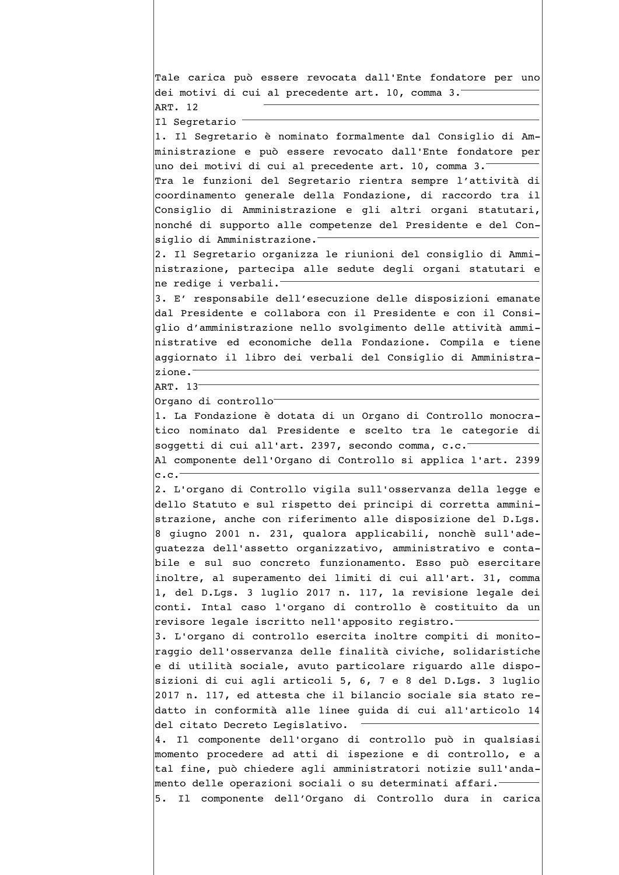Tale carica può essere revocata dall'Ente fondatore per uno dei motivi di cui al precedente art. 10, comma 3. ART. 12 Il Segretario 1. Il Segretario è nominato formalmente dal Consiglio di Amministrazione e può essere revocato dall'Ente fondatore per uno dei motivi di cui al precedente art. 10, comma 3. Tra le funzioni del Segretario rientra sempre l'attività di coordinamento generale della Fondazione, di raccordo tra il Consiglio di Amministrazione e gli altri organi statutari, nonché di supporto alle competenze del Presidente e del Consiglio di Amministrazione. 2. Il Segretario organizza le riunioni del consiglio di Amministrazione, partecipa alle sedute degli organi statutari e ne redige i verbali. 3. E' responsabile dell'esecuzione delle disposizioni emanate dal Presidente e collabora con il Presidente e con il Consiglio d'amministrazione nello svolgimento delle attività amministrative ed economiche della Fondazione. Compila e tiene aggiornato il libro dei verbali del Consiglio di Amministrazione. ART. 13 Organo di controllo 1. La Fondazione è dotata di un Organo di Controllo monocratico nominato dal Presidente e scelto tra le categorie di soggetti di cui all'art. 2397, secondo comma, c.c. Al componente dell'Organo di Controllo si applica l'art. 2399  $c.c.$ 2. L'organo di Controllo vigila sull'osservanza della legge e dello Statuto e sul rispetto dei principi di corretta amministrazione, anche con riferimento alle disposizione del D.Lqs. 8 giugno 2001 n. 231, qualora applicabili, nonchè sull'adeguatezza dell'assetto organizzativo, amministrativo e contabile e sul suo concreto funzionamento. Esso può esercitare inoltre, al superamento dei limiti di cui all'art. 31, comma 1, del D.Lgs. 3 luglio 2017 n. 117, la revisione legale dei conti. Intal caso l'organo di controllo è costituito da un revisore legale iscritto nell'apposito registro. 3. L'organo di controllo esercita inoltre compiti di monitoraggio dell'osservanza delle finalità civiche, solidaristiche e di utilità sociale, avuto particolare riguardo alle disposizioni di cui agli articoli 5, 6, 7 e 8 del D.Lgs. 3 luglio 2017 n. 117, ed attesta che il bilancio sociale sia stato redatto in conformità alle linee guida di cui all'articolo 14 del citato Decreto Legislativo. 4. Il componente dell'organo di controllo può in qualsiasi momento procedere ad atti di ispezione e di controllo, e a tal fine, può chiedere agli amministratori notizie sull'andamento delle operazioni sociali o su determinati affari.<sup>-</sup> 5. Il componente dell'Organo di Controllo dura in carica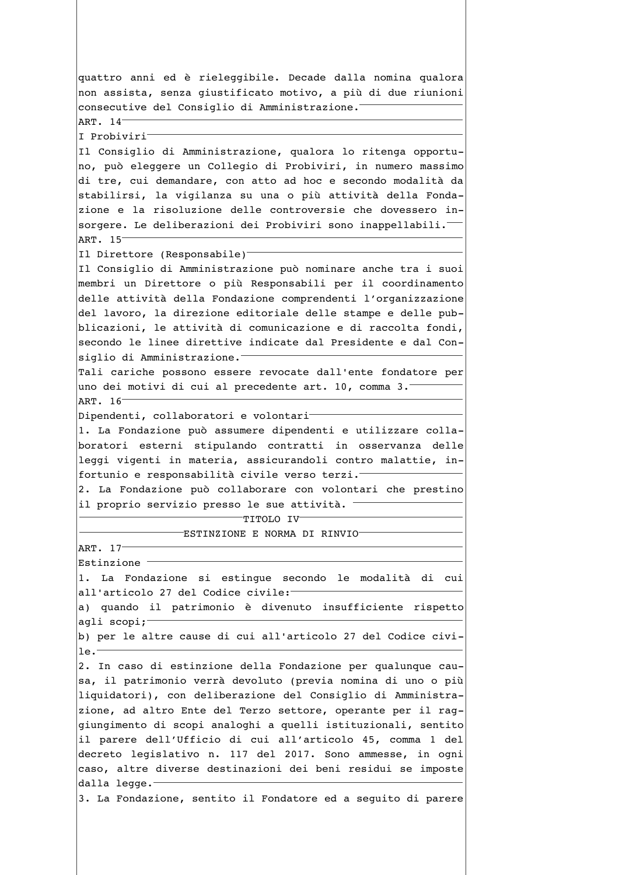quattro anni ed è rieleggibile. Decade dalla nomina qualora non assista, senza giustificato motivo, a più di due riunioni consecutive del Consiglio di Amministrazione. ART. 14 I Probiviri Il Consiglio di Amministrazione, qualora lo ritenga opportuno, può eleggere un Collegio di Probiviri, in numero massimo di tre, cui demandare, con atto ad hoc e secondo modalità da stabilirsi, la vigilanza su una o più attività della Fondazione e la risoluzione delle controversie che dovessero insorgere. Le deliberazioni dei Probiviri sono inappellabili. ART. 15 Il Direttore (Responsabile)<sup>-</sup> Il Consiglio di Amministrazione può nominare anche tra i suoi membri un Direttore o più Responsabili per il coordinamento delle attività della Fondazione comprendenti l'organizzazione del lavoro, la direzione editoriale delle stampe e delle pubblicazioni, le attività di comunicazione e di raccolta fondi, secondo le linee direttive indicate dal Presidente e dal Consiglio di Amministrazione. Tali cariche possono essere revocate dall'ente fondatore per uno dei motivi di cui al precedente art. 10, comma 3. ART. 16-Dipendenti, collaboratori e volontari-1. La Fondazione può assumere dipendenti e utilizzare collaboratori esterni stipulando contratti in osservanza delle leggi vigenti in materia, assicurandoli contro malattie, infortunio e responsabilità civile verso terzi.<sup>-</sup> 2. La Fondazione può collaborare con volontari che prestino il proprio servizio presso le sue attività. -TITOLO IV- $\overline{\phantom{x}}$ ESTINZIONE E NORMA DI RINVIO $\overline{\phantom{x}}$ ART. 17-Estinzione<sup>-</sup> 1. La Fondazione si estingue secondo le modalità di cui all'articolo 27 del Codice civile: a) quando il patrimonio è divenuto insufficiente rispetto agli scopi:b) per le altre cause di cui all'articolo 27 del Codice civi $le.$ 2. In caso di estinzione della Fondazione per qualunque causa, il patrimonio verrà devoluto (previa nomina di uno o più liquidatori), con deliberazione del Consiglio di Amministrazione, ad altro Ente del Terzo settore, operante per il raggiungimento di scopi analoghi a quelli istituzionali, sentito il parere dell'Ufficio di cui all'articolo 45, comma 1 del decreto legislativo n. 117 del 2017. Sono ammesse, in ogni caso, altre diverse destinazioni dei beni residui se imposte dalla legge.<sup>-</sup> 3. La Fondazione, sentito il Fondatore ed a seguito di parere